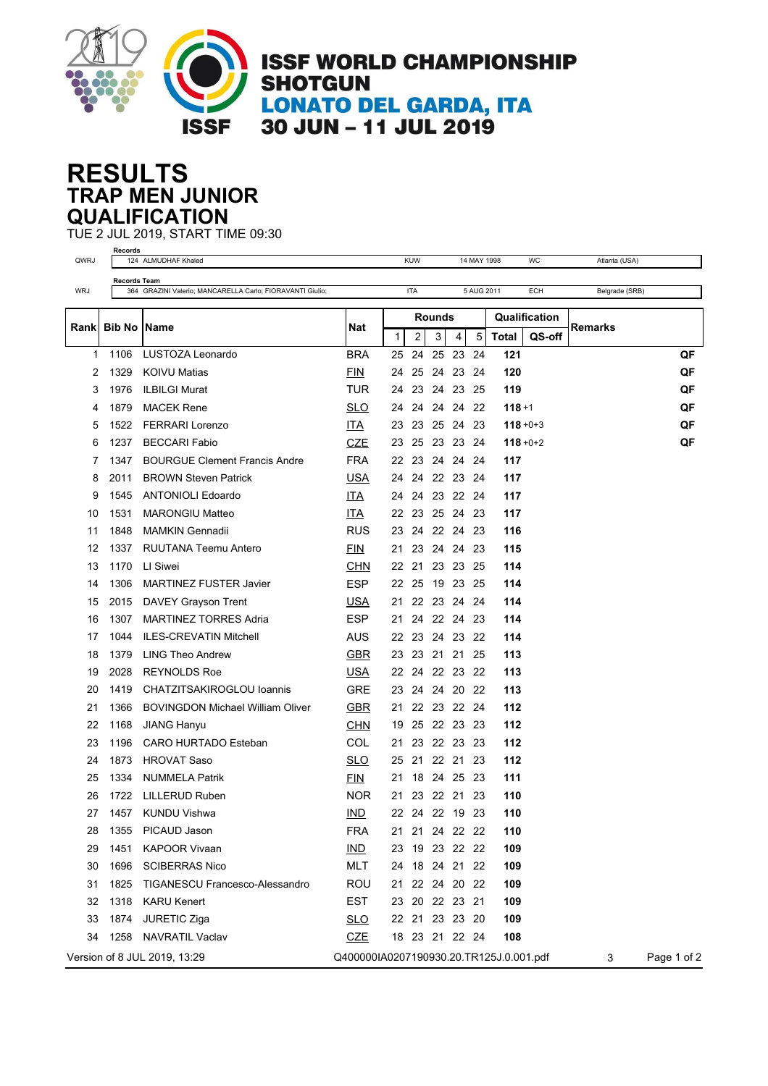

## **TRAP MEN JUNIOR RESULTS QUALIFICATION**

TUE 2 JUL 2019, START TIME 09:30

| QWRJ       | Records                                                   | 124 ALMUDHAF Khaled                     |                                         |              | <b>KUW</b>     |            |                | 14 MAY 1998 |                | WC            | Atlanta (USA) |             |
|------------|-----------------------------------------------------------|-----------------------------------------|-----------------------------------------|--------------|----------------|------------|----------------|-------------|----------------|---------------|---------------|-------------|
|            | <b>Records Team</b>                                       |                                         |                                         |              |                |            |                |             |                |               |               |             |
| <b>WRJ</b> | 364 GRAZINI Valerio; MANCARELLA Carlo; FIORAVANTI Giulio; |                                         | <b>ITA</b>                              |              |                | 5 AUG 2011 |                | <b>ECH</b>  | Belgrade (SRB) |               |               |             |
|            |                                                           |                                         |                                         | Rounds       |                |            |                |             |                | Qualification |               |             |
| Rank       | <b>Bib No</b>                                             | <b>Name</b>                             | <b>Nat</b>                              | $\mathbf{1}$ | $\overline{2}$ | 3          | $\overline{4}$ | 5           | <b>Total</b>   | QS-off        | Remarks       |             |
| 1          | 1106                                                      | LUSTOZA Leonardo                        | <b>BRA</b>                              | 25           | 24             | 25         | 23             | 24          | 121            |               |               | QF          |
| 2          | 1329                                                      | <b>KOIVU Matias</b>                     | <b>FIN</b>                              | 24           | 25             | 24         | 23             | -24         | 120            |               |               | QF          |
| 3          | 1976                                                      | <b>ILBILGI Murat</b>                    | TUR                                     | 24           | 23             |            | 24 23          | - 25        | 119            |               |               | QF          |
| 4          | 1879                                                      | <b>MACEK Rene</b>                       | <b>SLO</b>                              | 24           | 24             |            | 24 24 22       |             | $118 + 1$      |               |               | QF          |
| 5          | 1522                                                      | <b>FERRARI Lorenzo</b>                  | ITA                                     | 23           | 23             |            | 25 24 23       |             |                | $118 + 0 + 3$ |               | QF          |
| 6          | 1237                                                      | <b>BECCARI Fabio</b>                    | <b>CZE</b>                              | 23           | 25             |            | 23 23 24       |             |                | $118 + 0 + 2$ |               | QF          |
| 7          | 1347                                                      | <b>BOURGUE Clement Francis Andre</b>    | FRA                                     | 22           | 23             |            | 24 24 24       |             | 117            |               |               |             |
| 8          | 2011                                                      | <b>BROWN Steven Patrick</b>             | <b>USA</b>                              | 24           | 24             |            | 22 23          | - 24        | 117            |               |               |             |
| 9          | 1545                                                      | <b>ANTONIOLI Edoardo</b>                | ITA                                     | 24           | 24             |            | 23 22 24       |             | 117            |               |               |             |
| 10         | 1531                                                      | <b>MARONGIU Matteo</b>                  | <b>ITA</b>                              | 22           | 23             |            | 25 24 23       |             | 117            |               |               |             |
| 11         | 1848                                                      | <b>MAMKIN Gennadii</b>                  | <b>RUS</b>                              | 23           | 24             |            | 22 24 23       |             | 116            |               |               |             |
| 12         | 1337                                                      | RUUTANA Teemu Antero                    | <b>FIN</b>                              | 21           | 23             |            | 24 24 23       |             | 115            |               |               |             |
| 13         | 1170                                                      | LI Siwei                                | <b>CHN</b>                              | 22           | 21             |            | 23 23 25       |             | 114            |               |               |             |
| 14         | 1306                                                      | <b>MARTINEZ FUSTER Javier</b>           | <b>ESP</b>                              |              | 22 25          |            | 19 23 25       |             | 114            |               |               |             |
| 15         | 2015                                                      | DAVEY Grayson Trent                     | USA                                     | 21           | 22             |            | 23 24          | 24          | 114            |               |               |             |
| 16         | 1307                                                      | <b>MARTINEZ TORRES Adria</b>            | <b>ESP</b>                              | 21           | 24             |            | 22 24          | - 23        | 114            |               |               |             |
| 17         | 1044                                                      | <b>ILES-CREVATIN Mitchell</b>           | <b>AUS</b>                              | 22           | 23             |            | 24 23 22       |             | 114            |               |               |             |
| 18         | 1379                                                      | <b>LING Theo Andrew</b>                 | <b>GBR</b>                              | 23           | 23             | 21         | 21             | 25          | 113            |               |               |             |
| 19         | 2028                                                      | <b>REYNOLDS Roe</b>                     | <b>USA</b>                              | 22           | 24             |            | 22 23          | - 22        | 113            |               |               |             |
| 20         | 1419                                                      | CHATZITSAKIROGLOU Ioannis               | <b>GRE</b>                              | 23           | 24             |            | 24 20          | - 22        | 113            |               |               |             |
| 21         | 1366                                                      | <b>BOVINGDON Michael William Oliver</b> | <b>GBR</b>                              | 21           |                |            | 22 23 22 24    |             | 112            |               |               |             |
| 22         | 1168                                                      | <b>JIANG Hanyu</b>                      | <b>CHN</b>                              | 19           | 25             |            | 22 23          | 23          | 112            |               |               |             |
| 23         | 1196                                                      | CARO HURTADO Esteban                    | COL                                     | 21           | 23             |            | 22 23          | - 23        | 112            |               |               |             |
| 24         | 1873                                                      | <b>HROVAT Saso</b>                      | <b>SLO</b>                              | 25           | 21             |            | 22 21 23       |             | 112            |               |               |             |
| 25         | 1334                                                      | <b>NUMMELA Patrik</b>                   | <b>FIN</b>                              | 21           |                |            | 18 24 25 23    |             | 111            |               |               |             |
| 26         | 1722                                                      | LILLERUD Ruben                          | NOR.                                    | 21           | 23             |            | 22 21          | 23          | 110            |               |               |             |
| 27         | 1457                                                      | <b>KUNDU Vishwa</b>                     | IND                                     |              | 22 24 22 19 23 |            |                |             | 110            |               |               |             |
| 28         | 1355                                                      | PICAUD Jason                            | <b>FRA</b>                              | 21           |                |            | 21  24  22  22 |             | 110            |               |               |             |
| 29         | 1451                                                      | <b>KAPOOR Vivaan</b>                    | IMD                                     | 23           |                |            | 19 23 22 22    |             | 109            |               |               |             |
| 30         | 1696                                                      | <b>SCIBERRAS Nico</b>                   | <b>MLT</b>                              |              | 24 18 24 21 22 |            |                |             | 109            |               |               |             |
| 31         | 1825                                                      | <b>TIGANESCU Francesco-Alessandro</b>   | <b>ROU</b>                              |              | 21 22 24 20 22 |            |                |             | 109            |               |               |             |
| 32         | 1318                                                      | <b>KARU Kenert</b>                      | <b>EST</b>                              |              | 23 20 22 23 21 |            |                |             | 109            |               |               |             |
| 33         | 1874                                                      | JURETIC Ziga                            | <b>SLO</b>                              |              | 22 21 23 23 20 |            |                |             | 109            |               |               |             |
| 34         | 1258                                                      | NAVRATIL Vaclav                         | <b>CZE</b>                              |              | 18 23 21 22 24 |            |                |             | 108            |               |               |             |
|            |                                                           | Version of 8 JUL 2019, 13:29            | Q400000IA0207190930.20.TR125J.0.001.pdf |              |                |            |                |             |                |               | 3             | Page 1 of 2 |